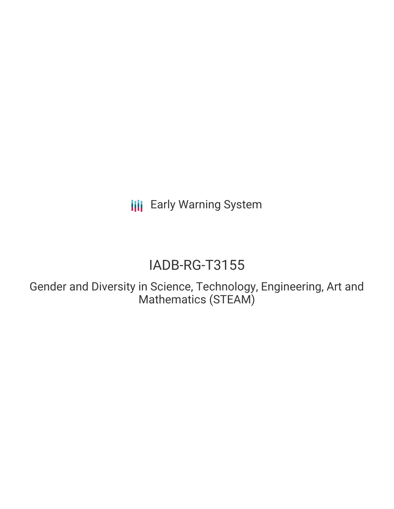**III** Early Warning System

# IADB-RG-T3155

Gender and Diversity in Science, Technology, Engineering, Art and Mathematics (STEAM)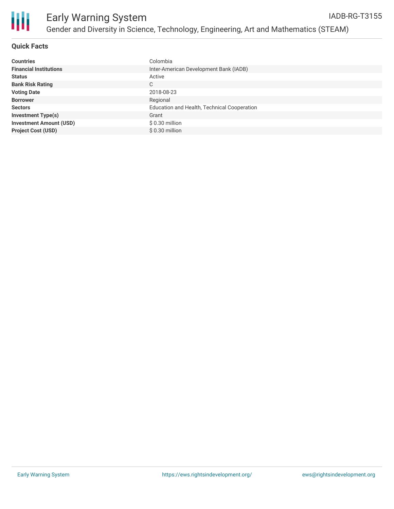

## **Quick Facts**

| <b>Countries</b>               | Colombia                                    |
|--------------------------------|---------------------------------------------|
| <b>Financial Institutions</b>  | Inter-American Development Bank (IADB)      |
| <b>Status</b>                  | Active                                      |
| <b>Bank Risk Rating</b>        | C                                           |
| <b>Voting Date</b>             | 2018-08-23                                  |
| <b>Borrower</b>                | Regional                                    |
| <b>Sectors</b>                 | Education and Health, Technical Cooperation |
| <b>Investment Type(s)</b>      | Grant                                       |
| <b>Investment Amount (USD)</b> | $$0.30$ million                             |
| <b>Project Cost (USD)</b>      | $$0.30$ million                             |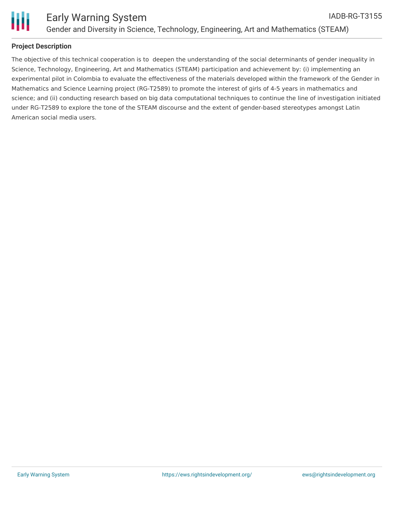

## **Project Description**

The objective of this technical cooperation is to deepen the understanding of the social determinants of gender inequality in Science, Technology, Engineering, Art and Mathematics (STEAM) participation and achievement by: (i) implementing an experimental pilot in Colombia to evaluate the effectiveness of the materials developed within the framework of the Gender in Mathematics and Science Learning project (RG-T2589) to promote the interest of girls of 4-5 years in mathematics and science; and (ii) conducting research based on big data computational techniques to continue the line of investigation initiated under RG-T2589 to explore the tone of the STEAM discourse and the extent of gender-based stereotypes amongst Latin American social media users.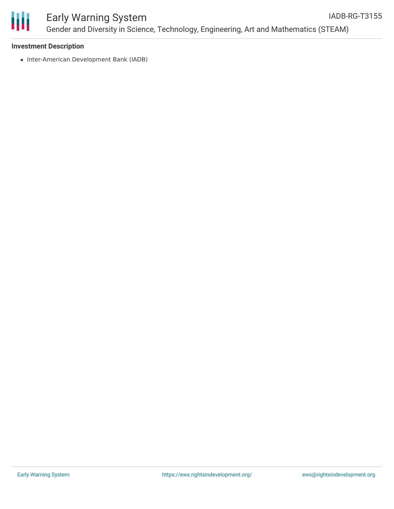

#### Early Warning System Gender and Diversity in Science, Technology, Engineering, Art and Mathematics (STEAM) IADB-RG-T3155

#### **Investment Description**

• Inter-American Development Bank (IADB)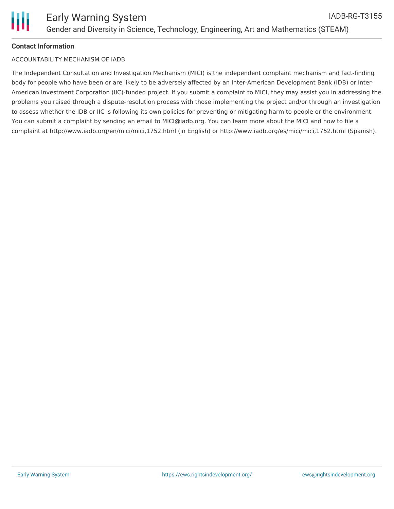# **Contact Information**

#### ACCOUNTABILITY MECHANISM OF IADB

The Independent Consultation and Investigation Mechanism (MICI) is the independent complaint mechanism and fact-finding body for people who have been or are likely to be adversely affected by an Inter-American Development Bank (IDB) or Inter-American Investment Corporation (IIC)-funded project. If you submit a complaint to MICI, they may assist you in addressing the problems you raised through a dispute-resolution process with those implementing the project and/or through an investigation to assess whether the IDB or IIC is following its own policies for preventing or mitigating harm to people or the environment. You can submit a complaint by sending an email to MICI@iadb.org. You can learn more about the MICI and how to file a complaint at http://www.iadb.org/en/mici/mici,1752.html (in English) or http://www.iadb.org/es/mici/mici,1752.html (Spanish).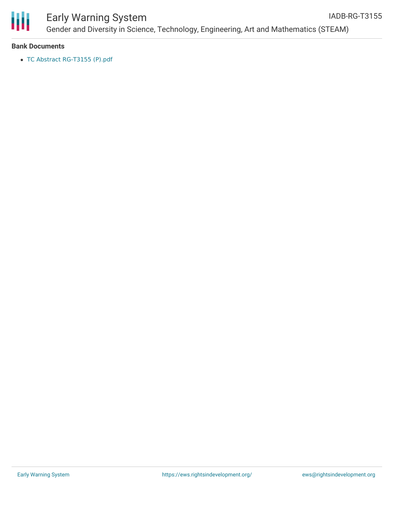

# Early Warning System

Gender and Diversity in Science, Technology, Engineering, Art and Mathematics (STEAM) IADB-RG-T3155

#### **Bank Documents**

TC Abstract [RG-T3155](https://www.iadb.org/Document.cfm?id=EZSHARE-781345297-4) (P).pdf